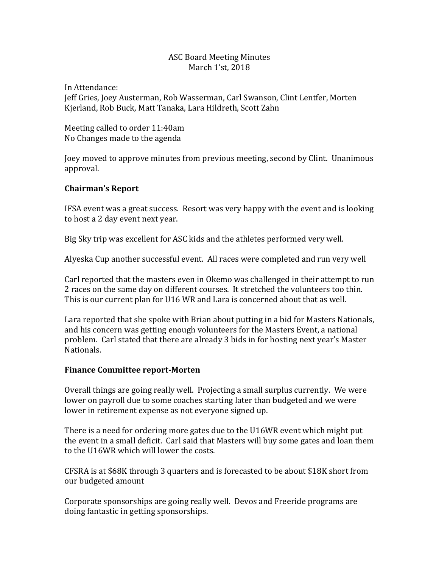## ASC Board Meeting Minutes March 1'st, 2018

In Attendance: Jeff Gries, Joey Austerman, Rob Wasserman, Carl Swanson, Clint Lentfer, Morten Kjerland, Rob Buck, Matt Tanaka, Lara Hildreth, Scott Zahn

Meeting called to order 11:40am No Changes made to the agenda

Joey moved to approve minutes from previous meeting, second by Clint. Unanimous approval.

# **Chairman's Report**

IFSA event was a great success. Resort was very happy with the event and is looking to host a 2 day event next year.

Big Sky trip was excellent for ASC kids and the athletes performed very well.

Alyeska Cup another successful event. All races were completed and run very well

Carl reported that the masters even in Okemo was challenged in their attempt to run 2 races on the same day on different courses. It stretched the volunteers too thin. This is our current plan for U16 WR and Lara is concerned about that as well.

Lara reported that she spoke with Brian about putting in a bid for Masters Nationals, and his concern was getting enough volunteers for the Masters Event, a national problem. Carl stated that there are already 3 bids in for hosting next year's Master Nationals.

## **Finance Committee report-Morten**

Overall things are going really well. Projecting a small surplus currently. We were lower on payroll due to some coaches starting later than budgeted and we were lower in retirement expense as not everyone signed up.

There is a need for ordering more gates due to the U16WR event which might put the event in a small deficit. Carl said that Masters will buy some gates and loan them to the U16WR which will lower the costs.

CFSRA is at \$68K through 3 quarters and is forecasted to be about \$18K short from our budgeted amount

Corporate sponsorships are going really well. Devos and Freeride programs are doing fantastic in getting sponsorships.